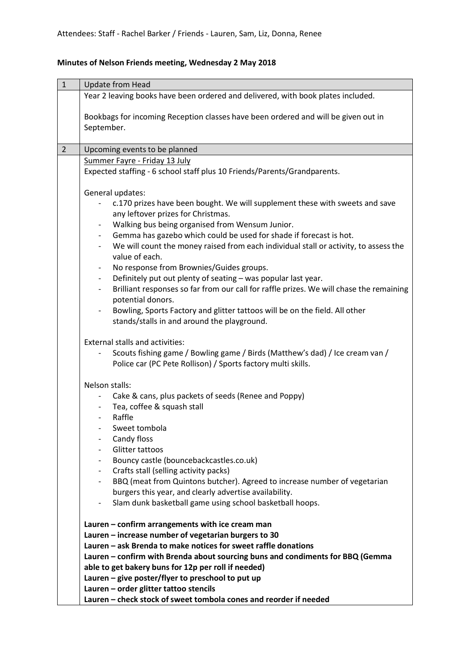## **Minutes of Nelson Friends meeting, Wednesday 2 May 2018**

| $\mathbf 1$    | <b>Update from Head</b>                                                                                                                                                                                                                                                                                                                                                                                                                                                                                                                                                                                                                                                                                                                                                                      |
|----------------|----------------------------------------------------------------------------------------------------------------------------------------------------------------------------------------------------------------------------------------------------------------------------------------------------------------------------------------------------------------------------------------------------------------------------------------------------------------------------------------------------------------------------------------------------------------------------------------------------------------------------------------------------------------------------------------------------------------------------------------------------------------------------------------------|
|                | Year 2 leaving books have been ordered and delivered, with book plates included.                                                                                                                                                                                                                                                                                                                                                                                                                                                                                                                                                                                                                                                                                                             |
|                | Bookbags for incoming Reception classes have been ordered and will be given out in<br>September.                                                                                                                                                                                                                                                                                                                                                                                                                                                                                                                                                                                                                                                                                             |
| $\overline{2}$ | Upcoming events to be planned                                                                                                                                                                                                                                                                                                                                                                                                                                                                                                                                                                                                                                                                                                                                                                |
|                | Summer Fayre - Friday 13 July                                                                                                                                                                                                                                                                                                                                                                                                                                                                                                                                                                                                                                                                                                                                                                |
|                | Expected staffing - 6 school staff plus 10 Friends/Parents/Grandparents.                                                                                                                                                                                                                                                                                                                                                                                                                                                                                                                                                                                                                                                                                                                     |
|                | General updates:                                                                                                                                                                                                                                                                                                                                                                                                                                                                                                                                                                                                                                                                                                                                                                             |
|                | c.170 prizes have been bought. We will supplement these with sweets and save<br>any leftover prizes for Christmas.<br>Walking bus being organised from Wensum Junior.<br>Gemma has gazebo which could be used for shade if forecast is hot.<br>We will count the money raised from each individual stall or activity, to assess the<br>value of each.<br>No response from Brownies/Guides groups.<br>Definitely put out plenty of seating - was popular last year.<br>۰.<br>Brilliant responses so far from our call for raffle prizes. We will chase the remaining<br>$\overline{\phantom{0}}$<br>potential donors.<br>Bowling, Sports Factory and glitter tattoos will be on the field. All other<br>stands/stalls in and around the playground.<br><b>External stalls and activities:</b> |
|                | Scouts fishing game / Bowling game / Birds (Matthew's dad) / Ice cream van /<br>Police car (PC Pete Rollison) / Sports factory multi skills.                                                                                                                                                                                                                                                                                                                                                                                                                                                                                                                                                                                                                                                 |
|                | Nelson stalls:                                                                                                                                                                                                                                                                                                                                                                                                                                                                                                                                                                                                                                                                                                                                                                               |
|                | Cake & cans, plus packets of seeds (Renee and Poppy)<br>Tea, coffee & squash stall<br>Raffle                                                                                                                                                                                                                                                                                                                                                                                                                                                                                                                                                                                                                                                                                                 |
|                | Sweet tombola                                                                                                                                                                                                                                                                                                                                                                                                                                                                                                                                                                                                                                                                                                                                                                                |
|                | Candy floss<br>Glitter tattoos                                                                                                                                                                                                                                                                                                                                                                                                                                                                                                                                                                                                                                                                                                                                                               |
|                | Bouncy castle (bouncebackcastles.co.uk)                                                                                                                                                                                                                                                                                                                                                                                                                                                                                                                                                                                                                                                                                                                                                      |
|                | Crafts stall (selling activity packs)                                                                                                                                                                                                                                                                                                                                                                                                                                                                                                                                                                                                                                                                                                                                                        |
|                | BBQ (meat from Quintons butcher). Agreed to increase number of vegetarian                                                                                                                                                                                                                                                                                                                                                                                                                                                                                                                                                                                                                                                                                                                    |
|                | burgers this year, and clearly advertise availability.                                                                                                                                                                                                                                                                                                                                                                                                                                                                                                                                                                                                                                                                                                                                       |
|                | Slam dunk basketball game using school basketball hoops.<br>-                                                                                                                                                                                                                                                                                                                                                                                                                                                                                                                                                                                                                                                                                                                                |
|                | Lauren - confirm arrangements with ice cream man<br>Lauren - increase number of vegetarian burgers to 30<br>Lauren - ask Brenda to make notices for sweet raffle donations<br>Lauren - confirm with Brenda about sourcing buns and condiments for BBQ (Gemma<br>able to get bakery buns for 12p per roll if needed)<br>Lauren - give poster/flyer to preschool to put up<br>Lauren - order glitter tattoo stencils                                                                                                                                                                                                                                                                                                                                                                           |
|                | Lauren - check stock of sweet tombola cones and reorder if needed                                                                                                                                                                                                                                                                                                                                                                                                                                                                                                                                                                                                                                                                                                                            |